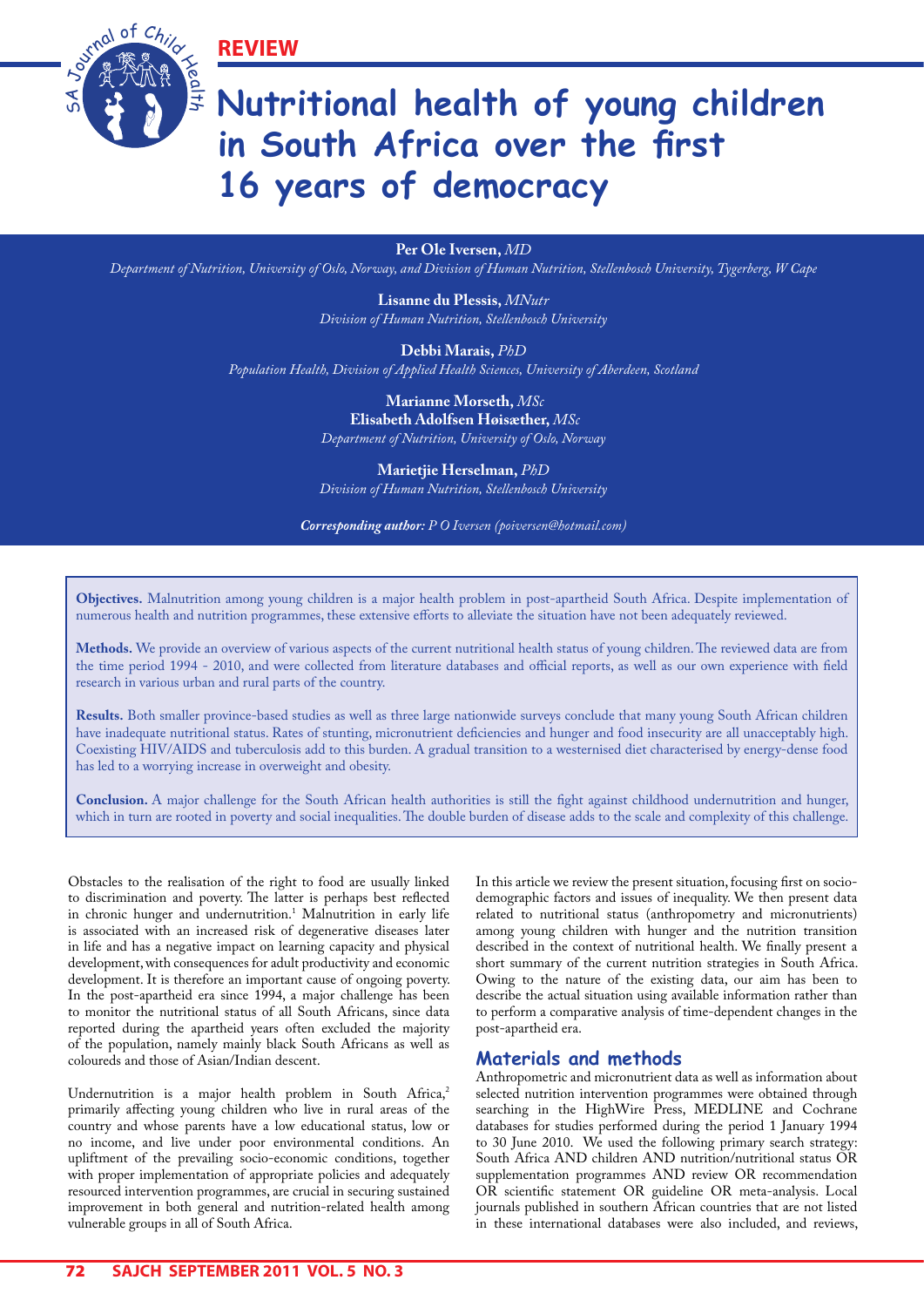**REVIEW**



# **Nutritional health of young children in South Africa over the first 16 years of democracy**

**Per Ole Iversen,** *MD*

*Department of Nutrition, University of Oslo, Norway, and Division of Human Nutrition, Stellenbosch University, Tygerberg, W Cape*

**Lisanne du Plessis,** *MNutr Division of Human Nutrition, Stellenbosch University*

**Debbi Marais,** *PhD*

*Population Health, Division of Applied Health Sciences, University of Aberdeen, Scotland*

 **Marianne Morseth,** *MSc*  **Elisabeth Adolfsen Høisæther,** *MSc Department of Nutrition, University of Oslo, Norway*

**Marietjie Herselman,** *PhD Division of Human Nutrition, Stellenbosch University*

*Corresponding author: P O Iversen (poiversen@hotmail.com)*

**Objectives.** Malnutrition among young children is a major health problem in post-apartheid South Africa. Despite implementation of numerous health and nutrition programmes, these extensive efforts to alleviate the situation have not been adequately reviewed.

**Methods.** We provide an overview of various aspects of the current nutritional health status of young children. The reviewed data are from the time period 1994 - 2010, and were collected from literature databases and official reports, as well as our own experience with field research in various urban and rural parts of the country.

**Results.** Both smaller province-based studies as well as three large nationwide surveys conclude that many young South African children have inadequate nutritional status. Rates of stunting, micronutrient deficiencies and hunger and food insecurity are all unacceptably high. Coexisting HIV/AIDS and tuberculosis add to this burden. A gradual transition to a westernised diet characterised by energy-dense food has led to a worrying increase in overweight and obesity.

**Conclusion.** A major challenge for the South African health authorities is still the fight against childhood undernutrition and hunger, which in turn are rooted in poverty and social inequalities. The double burden of disease adds to the scale and complexity of this challenge.

Obstacles to the realisation of the right to food are usually linked to discrimination and poverty. The latter is perhaps best reflected in chronic hunger and undernutrition.<sup>1</sup> Malnutrition in early life is associated with an increased risk of degenerative diseases later in life and has a negative impact on learning capacity and physical development, with consequences for adult productivity and economic development. It is therefore an important cause of ongoing poverty. In the post-apartheid era since 1994, a major challenge has been to monitor the nutritional status of all South Africans, since data reported during the apartheid years often excluded the majority of the population, namely mainly black South Africans as well as coloureds and those of Asian/Indian descent.

Undernutrition is a major health problem in South Africa, $^2$ primarily affecting young children who live in rural areas of the country and whose parents have a low educational status, low or no income, and live under poor environmental conditions. An upliftment of the prevailing socio-economic conditions, together with proper implementation of appropriate policies and adequately resourced intervention programmes, are crucial in securing sustained improvement in both general and nutrition-related health among vulnerable groups in all of South Africa.

In this article we review the present situation, focusing first on sociodemographic factors and issues of inequality. We then present data related to nutritional status (anthropometry and micronutrients) among young children with hunger and the nutrition transition described in the context of nutritional health. We finally present a short summary of the current nutrition strategies in South Africa. Owing to the nature of the existing data, our aim has been to describe the actual situation using available information rather than to perform a comparative analysis of time-dependent changes in the post-apartheid era.

## **Materials and methods**

Anthropometric and micronutrient data as well as information about selected nutrition intervention programmes were obtained through searching in the HighWire Press, MEDLINE and Cochrane databases for studies performed during the period 1 January 1994 to 30 June 2010. We used the following primary search strategy: South Africa AND children AND nutrition/nutritional status OR supplementation programmes AND review OR recommendation OR scientific statement OR guideline OR meta-analysis. Local journals published in southern African countries that are not listed in these international databases were also included, and reviews,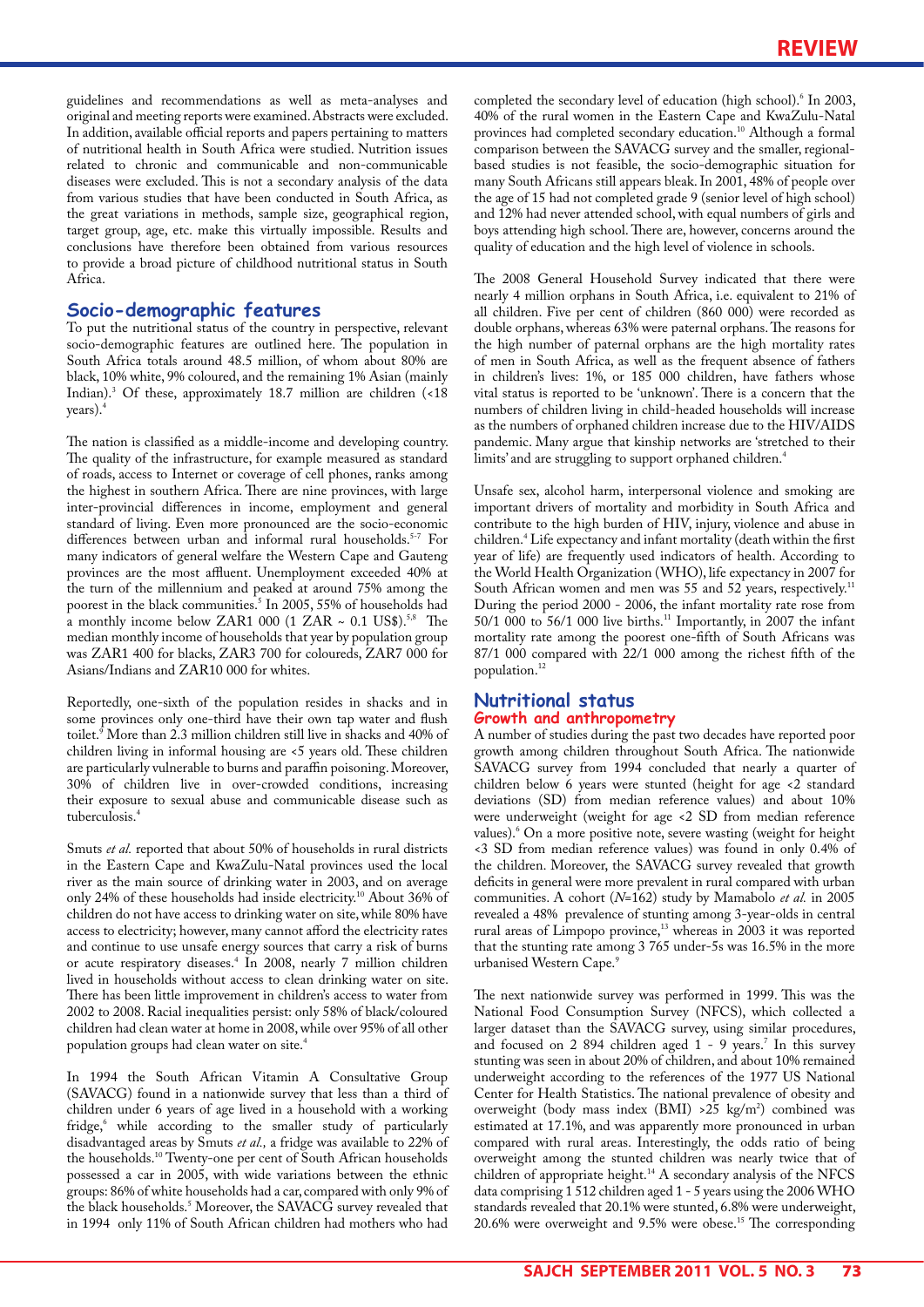guidelines and recommendations as well as meta-analyses and original and meeting reports were examined. Abstracts were excluded. In addition, available official reports and papers pertaining to matters of nutritional health in South Africa were studied. Nutrition issues related to chronic and communicable and non-communicable diseases were excluded. This is not a secondary analysis of the data from various studies that have been conducted in South Africa, as the great variations in methods, sample size, geographical region, target group, age, etc. make this virtually impossible. Results and conclusions have therefore been obtained from various resources to provide a broad picture of childhood nutritional status in South Africa.

# **Socio-demographic features**

To put the nutritional status of the country in perspective, relevant socio-demographic features are outlined here. The population in South Africa totals around 48.5 million, of whom about 80% are black, 10% white, 9% coloured, and the remaining 1% Asian (mainly Indian).3 Of these, approximately 18.7 million are children (<18 years).<sup>4</sup>

The nation is classified as a middle-income and developing country. The quality of the infrastructure, for example measured as standard of roads, access to Internet or coverage of cell phones, ranks among the highest in southern Africa. There are nine provinces, with large inter-provincial differences in income, employment and general standard of living. Even more pronounced are the socio-economic differences between urban and informal rural households.<sup>5-7</sup> For many indicators of general welfare the Western Cape and Gauteng provinces are the most affluent. Unemployment exceeded 40% at the turn of the millennium and peaked at around 75% among the poorest in the black communities.<sup>5</sup> In 2005, 55% of households had a monthly income below ZAR1 000 (1 ZAR ~ 0.1 US\$).<sup>5,8</sup> The median monthly income of households that year by population group was ZAR1 400 for blacks, ZAR3 700 for coloureds, ZAR7 000 for Asians/Indians and ZAR10 000 for whites.

Reportedly, one-sixth of the population resides in shacks and in some provinces only one-third have their own tap water and flush toilet.<sup>9</sup> More than 2.3 million children still live in shacks and 40% of children living in informal housing are <5 years old. These children are particularly vulnerable to burns and paraffin poisoning. Moreover, 30% of children live in over-crowded conditions, increasing their exposure to sexual abuse and communicable disease such as tuberculosis.<sup>4</sup>

Smuts *et al.* reported that about 50% of households in rural districts in the Eastern Cape and KwaZulu-Natal provinces used the local river as the main source of drinking water in 2003, and on average only 24% of these households had inside electricity.<sup>10</sup> About 36% of children do not have access to drinking water on site, while 80% have access to electricity; however, many cannot afford the electricity rates and continue to use unsafe energy sources that carry a risk of burns or acute respiratory diseases.4 In 2008, nearly 7 million children lived in households without access to clean drinking water on site. There has been little improvement in children's access to water from 2002 to 2008. Racial inequalities persist: only 58% of black/coloured children had clean water at home in 2008, while over 95% of all other population groups had clean water on site.<sup>4</sup>

In 1994 the South African Vitamin A Consultative Group (SAVACG) found in a nationwide survey that less than a third of children under 6 years of age lived in a household with a working fridge,<sup>6</sup> while according to the smaller study of particularly disadvantaged areas by Smuts *et al.,* a fridge was available to 22% of the households.10 Twenty-one per cent of South African households possessed a car in 2005, with wide variations between the ethnic groups: 86% of white households had a car, compared with only 9% of the black households.<sup>5</sup> Moreover, the SAVACG survey revealed that in 1994 only 11% of South African children had mothers who had

completed the secondary level of education (high school).<sup>6</sup> In 2003, 40% of the rural women in the Eastern Cape and KwaZulu-Natal provinces had completed secondary education.<sup>10</sup> Although a formal comparison between the SAVACG survey and the smaller, regionalbased studies is not feasible, the socio-demographic situation for many South Africans still appears bleak. In 2001, 48% of people over the age of 15 had not completed grade 9 (senior level of high school) and 12% had never attended school, with equal numbers of girls and boys attending high school. There are, however, concerns around the quality of education and the high level of violence in schools.

The 2008 General Household Survey indicated that there were nearly 4 million orphans in South Africa, i.e. equivalent to 21% of all children. Five per cent of children (860 000) were recorded as double orphans, whereas 63% were paternal orphans. The reasons for the high number of paternal orphans are the high mortality rates of men in South Africa, as well as the frequent absence of fathers in children's lives: 1%, or 185 000 children, have fathers whose vital status is reported to be 'unknown'. There is a concern that the numbers of children living in child-headed households will increase as the numbers of orphaned children increase due to the HIV/AIDS pandemic. Many argue that kinship networks are 'stretched to their limits' and are struggling to support orphaned children.<sup>4</sup>

Unsafe sex, alcohol harm, interpersonal violence and smoking are important drivers of mortality and morbidity in South Africa and contribute to the high burden of HIV, injury, violence and abuse in children.4 Life expectancy and infant mortality (death within the first year of life) are frequently used indicators of health. According to the World Health Organization (WHO), life expectancy in 2007 for South African women and men was 55 and 52 years, respectively.<sup>11</sup> During the period 2000 - 2006, the infant mortality rate rose from 50/1 000 to 56/1 000 live births.11 Importantly, in 2007 the infant mortality rate among the poorest one-fifth of South Africans was 87/1 000 compared with 22/1 000 among the richest fifth of the population.<sup>12</sup>

#### **Nutritional status Growth and anthropometry**

A number of studies during the past two decades have reported poor growth among children throughout South Africa. The nationwide SAVACG survey from 1994 concluded that nearly a quarter of children below 6 years were stunted (height for age <2 standard deviations (SD) from median reference values) and about 10% were underweight (weight for age <2 SD from median reference values).6 On a more positive note, severe wasting (weight for height <3 SD from median reference values) was found in only 0.4% of the children. Moreover, the SAVACG survey revealed that growth deficits in general were more prevalent in rural compared with urban communities. A cohort (*N*=162) study by Mamabolo *et al.* in 2005 revealed a 48% prevalence of stunting among 3-year-olds in central rural areas of Limpopo province,13 whereas in 2003 it was reported that the stunting rate among 3 765 under-5s was 16.5% in the more urbanised Western Cape.<sup>9</sup>

The next nationwide survey was performed in 1999. This was the National Food Consumption Survey (NFCS), which collected a larger dataset than the SAVACG survey, using similar procedures, and focused on 2 894 children aged 1 - 9 years.<sup>7</sup> In this survey stunting was seen in about 20% of children, and about 10% remained underweight according to the references of the 1977 US National Center for Health Statistics. The national prevalence of obesity and overweight (body mass index (BMI) >25 kg/m2 ) combined was estimated at 17.1%, and was apparently more pronounced in urban compared with rural areas. Interestingly, the odds ratio of being overweight among the stunted children was nearly twice that of children of appropriate height.<sup>14</sup> A secondary analysis of the NFCS data comprising 1 512 children aged 1 - 5 years using the 2006 WHO standards revealed that 20.1% were stunted, 6.8% were underweight, 20.6% were overweight and 9.5% were obese.15 The corresponding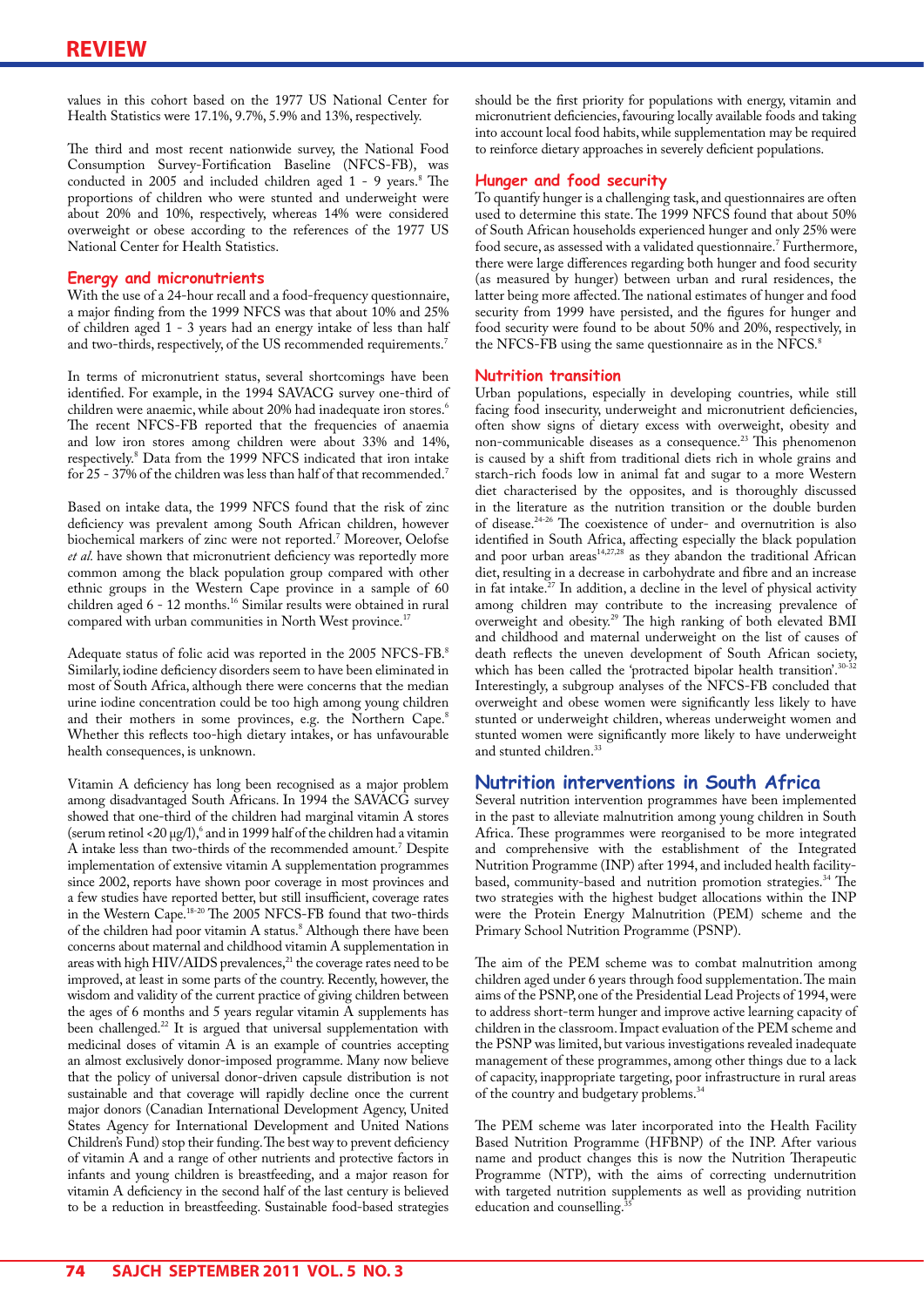values in this cohort based on the 1977 US National Center for Health Statistics were 17.1%, 9.7%, 5.9% and 13%, respectively.

The third and most recent nationwide survey, the National Food Consumption Survey-Fortification Baseline (NFCS-FB), was conducted in 2005 and included children aged 1 - 9 years.<sup>8</sup> The proportions of children who were stunted and underweight were about 20% and 10%, respectively, whereas 14% were considered overweight or obese according to the references of the 1977 US National Center for Health Statistics.

# **Energy and micronutrients**

With the use of a 24-hour recall and a food-frequency questionnaire, a major finding from the 1999 NFCS was that about 10% and 25% of children aged 1 - 3 years had an energy intake of less than half and two-thirds, respectively, of the US recommended requirements.<sup>7</sup>

In terms of micronutrient status, several shortcomings have been identified. For example, in the 1994 SAVACG survey one-third of children were anaemic, while about 20% had inadequate iron stores.<sup>6</sup> The recent NFCS-FB reported that the frequencies of anaemia and low iron stores among children were about 33% and 14%, respectively.<sup>8</sup> Data from the 1999 NFCS indicated that iron intake for 25 - 37% of the children was less than half of that recommended.<sup>7</sup>

Based on intake data, the 1999 NFCS found that the risk of zinc deficiency was prevalent among South African children, however biochemical markers of zinc were not reported.7 Moreover, Oelofse *et al.* have shown that micronutrient deficiency was reportedly more common among the black population group compared with other ethnic groups in the Western Cape province in a sample of 60 children aged 6 - 12 months.<sup>16</sup> Similar results were obtained in rural compared with urban communities in North West province.<sup>17</sup>

Adequate status of folic acid was reported in the 2005 NFCS-FB. $^{\rm 8}$ Similarly, iodine deficiency disorders seem to have been eliminated in most of South Africa, although there were concerns that the median urine iodine concentration could be too high among young children and their mothers in some provinces, e.g. the Northern Cape.<sup>8</sup> Whether this reflects too-high dietary intakes, or has unfavourable health consequences, is unknown.

Vitamin A deficiency has long been recognised as a major problem among disadvantaged South Africans. In 1994 the SAVACG survey showed that one-third of the children had marginal vitamin A stores (serum retinol <20  $\mu$ g/l), $^6$  and in 1999 half of the children had a vitamin A intake less than two-thirds of the recommended amount.7 Despite implementation of extensive vitamin A supplementation programmes since 2002, reports have shown poor coverage in most provinces and a few studies have reported better, but still insufficient, coverage rates in the Western Cape.18-20 The 2005 NFCS-FB found that two-thirds of the children had poor vitamin A status.<sup>8</sup> Although there have been concerns about maternal and childhood vitamin A supplementation in areas with high HIV/AIDS prevalences, $^{21}$  the coverage rates need to be improved, at least in some parts of the country. Recently, however, the wisdom and validity of the current practice of giving children between the ages of 6 months and 5 years regular vitamin A supplements has been challenged.<sup>22</sup> It is argued that universal supplementation with medicinal doses of vitamin A is an example of countries accepting an almost exclusively donor-imposed programme. Many now believe that the policy of universal donor-driven capsule distribution is not sustainable and that coverage will rapidly decline once the current major donors (Canadian International Development Agency, United States Agency for International Development and United Nations Children's Fund) stop their funding. The best way to prevent deficiency of vitamin A and a range of other nutrients and protective factors in infants and young children is breastfeeding, and a major reason for vitamin A deficiency in the second half of the last century is believed to be a reduction in breastfeeding. Sustainable food-based strategies

should be the first priority for populations with energy, vitamin and micronutrient deficiencies, favouring locally available foods and taking into account local food habits, while supplementation may be required to reinforce dietary approaches in severely deficient populations.

#### **Hunger and food security**

To quantify hunger is a challenging task, and questionnaires are often used to determine this state. The 1999 NFCS found that about 50% of South African households experienced hunger and only 25% were food secure, as assessed with a validated questionnaire.<sup>7</sup> Furthermore, there were large differences regarding both hunger and food security (as measured by hunger) between urban and rural residences, the latter being more affected. The national estimates of hunger and food security from 1999 have persisted, and the figures for hunger and food security were found to be about 50% and 20%, respectively, in the NFCS-FB using the same questionnaire as in the NFCS.<sup>8</sup>

#### **Nutrition transition**

Urban populations, especially in developing countries, while still facing food insecurity, underweight and micronutrient deficiencies, often show signs of dietary excess with overweight, obesity and non-communicable diseases as a consequence.<sup>23</sup> This phenomenon is caused by a shift from traditional diets rich in whole grains and starch-rich foods low in animal fat and sugar to a more Western diet characterised by the opposites, and is thoroughly discussed in the literature as the nutrition transition or the double burden of disease.24-26 The coexistence of under- and overnutrition is also identified in South Africa, affecting especially the black population and poor urban areas<sup>14,27,28</sup> as they abandon the traditional African diet, resulting in a decrease in carbohydrate and fibre and an increase in fat intake.<sup>27</sup> In addition, a decline in the level of physical activity among children may contribute to the increasing prevalence of overweight and obesity.29 The high ranking of both elevated BMI and childhood and maternal underweight on the list of causes of death reflects the uneven development of South African society, which has been called the 'protracted bipolar health transition'.<sup>30-32</sup> Interestingly, a subgroup analyses of the NFCS-FB concluded that overweight and obese women were significantly less likely to have stunted or underweight children, whereas underweight women and stunted women were significantly more likely to have underweight and stunted children.<sup>33</sup>

#### **Nutrition interventions in South Africa**

Several nutrition intervention programmes have been implemented in the past to alleviate malnutrition among young children in South Africa. These programmes were reorganised to be more integrated and comprehensive with the establishment of the Integrated Nutrition Programme (INP) after 1994, and included health facilitybased, community-based and nutrition promotion strategies.<sup>34</sup> The two strategies with the highest budget allocations within the INP were the Protein Energy Malnutrition (PEM) scheme and the Primary School Nutrition Programme (PSNP).

The aim of the PEM scheme was to combat malnutrition among children aged under 6 years through food supplementation. The main aims of the PSNP, one of the Presidential Lead Projects of 1994, were to address short-term hunger and improve active learning capacity of children in the classroom. Impact evaluation of the PEM scheme and the PSNP was limited, but various investigations revealed inadequate management of these programmes, among other things due to a lack of capacity, inappropriate targeting, poor infrastructure in rural areas of the country and budgetary problems.<sup>34</sup>

The PEM scheme was later incorporated into the Health Facility Based Nutrition Programme (HFBNP) of the INP. After various name and product changes this is now the Nutrition Therapeutic Programme (NTP), with the aims of correcting undernutrition with targeted nutrition supplements as well as providing nutrition education and counselling.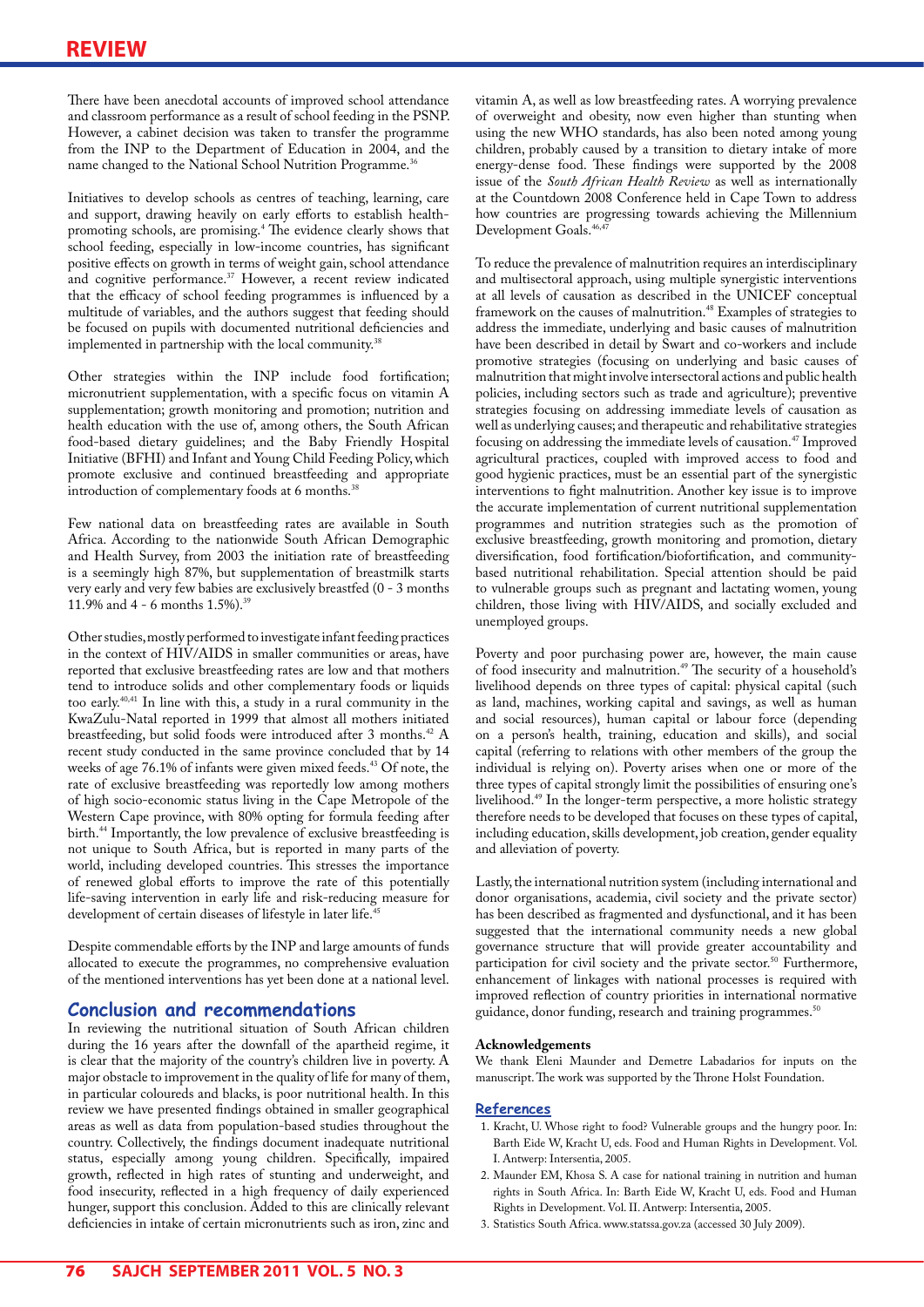There have been anecdotal accounts of improved school attendance and classroom performance as a result of school feeding in the PSNP. However, a cabinet decision was taken to transfer the programme from the INP to the Department of Education in 2004, and the name changed to the National School Nutrition Programme.<sup>36</sup>

Initiatives to develop schools as centres of teaching, learning, care and support, drawing heavily on early efforts to establish healthpromoting schools, are promising.<sup>4</sup> The evidence clearly shows that school feeding, especially in low-income countries, has significant positive effects on growth in terms of weight gain, school attendance and cognitive performance.<sup>37</sup> However, a recent review indicated that the efficacy of school feeding programmes is influenced by a multitude of variables, and the authors suggest that feeding should be focused on pupils with documented nutritional deficiencies and implemented in partnership with the local community.<sup>38</sup>

Other strategies within the INP include food fortification; micronutrient supplementation, with a specific focus on vitamin A supplementation; growth monitoring and promotion; nutrition and health education with the use of, among others, the South African food-based dietary guidelines; and the Baby Friendly Hospital Initiative (BFHI) and Infant and Young Child Feeding Policy, which promote exclusive and continued breastfeeding and appropriate introduction of complementary foods at 6 months.<sup>38</sup>

Few national data on breastfeeding rates are available in South Africa. According to the nationwide South African Demographic and Health Survey, from 2003 the initiation rate of breastfeeding is a seemingly high 87%, but supplementation of breastmilk starts very early and very few babies are exclusively breastfed (0 - 3 months 11.9% and 4 - 6 months 1.5%).39

Other studies, mostly performed to investigate infant feeding practices in the context of HIV/AIDS in smaller communities or areas, have reported that exclusive breastfeeding rates are low and that mothers tend to introduce solids and other complementary foods or liquids too early.40,41 In line with this, a study in a rural community in the KwaZulu-Natal reported in 1999 that almost all mothers initiated breastfeeding, but solid foods were introduced after 3 months.<sup>42</sup> A recent study conducted in the same province concluded that by 14 weeks of age 76.1% of infants were given mixed feeds.<sup>43</sup> Of note, the rate of exclusive breastfeeding was reportedly low among mothers of high socio-economic status living in the Cape Metropole of the Western Cape province, with 80% opting for formula feeding after birth.<sup>44</sup> Importantly, the low prevalence of exclusive breastfeeding is not unique to South Africa, but is reported in many parts of the world, including developed countries. This stresses the importance of renewed global efforts to improve the rate of this potentially life-saving intervention in early life and risk-reducing measure for development of certain diseases of lifestyle in later life.<sup>45</sup>

Despite commendable efforts by the INP and large amounts of funds allocated to execute the programmes, no comprehensive evaluation of the mentioned interventions has yet been done at a national level.

## **Conclusion and recommendations**

In reviewing the nutritional situation of South African children during the 16 years after the downfall of the apartheid regime, it is clear that the majority of the country's children live in poverty. A major obstacle to improvement in the quality of life for many of them, in particular coloureds and blacks, is poor nutritional health. In this review we have presented findings obtained in smaller geographical areas as well as data from population-based studies throughout the country. Collectively, the findings document inadequate nutritional status, especially among young children. Specifically, impaired growth, reflected in high rates of stunting and underweight, and food insecurity, reflected in a high frequency of daily experienced hunger, support this conclusion. Added to this are clinically relevant deficiencies in intake of certain micronutrients such as iron, zinc and

vitamin A, as well as low breastfeeding rates. A worrying prevalence of overweight and obesity, now even higher than stunting when using the new WHO standards, has also been noted among young children, probably caused by a transition to dietary intake of more energy-dense food. These findings were supported by the 2008 issue of the *South African Health Review* as well as internationally at the Countdown 2008 Conference held in Cape Town to address how countries are progressing towards achieving the Millennium Development Goals.<sup>46,4</sup>

To reduce the prevalence of malnutrition requires an interdisciplinary and multisectoral approach, using multiple synergistic interventions at all levels of causation as described in the UNICEF conceptual framework on the causes of malnutrition.<sup>48</sup> Examples of strategies to address the immediate, underlying and basic causes of malnutrition have been described in detail by Swart and co-workers and include promotive strategies (focusing on underlying and basic causes of malnutrition that might involve intersectoral actions and public health policies, including sectors such as trade and agriculture); preventive strategies focusing on addressing immediate levels of causation as well as underlying causes; and therapeutic and rehabilitative strategies focusing on addressing the immediate levels of causation.47 Improved agricultural practices, coupled with improved access to food and good hygienic practices, must be an essential part of the synergistic interventions to fight malnutrition. Another key issue is to improve the accurate implementation of current nutritional supplementation programmes and nutrition strategies such as the promotion of exclusive breastfeeding, growth monitoring and promotion, dietary diversification, food fortification/biofortification, and communitybased nutritional rehabilitation. Special attention should be paid to vulnerable groups such as pregnant and lactating women, young children, those living with HIV/AIDS, and socially excluded and unemployed groups.

Poverty and poor purchasing power are, however, the main cause of food insecurity and malnutrition.<sup>49</sup> The security of a household's livelihood depends on three types of capital: physical capital (such as land, machines, working capital and savings, as well as human and social resources), human capital or labour force (depending on a person's health, training, education and skills), and social capital (referring to relations with other members of the group the individual is relying on). Poverty arises when one or more of the three types of capital strongly limit the possibilities of ensuring one's livelihood.49 In the longer-term perspective, a more holistic strategy therefore needs to be developed that focuses on these types of capital, including education, skills development, job creation, gender equality and alleviation of poverty.

Lastly, the international nutrition system (including international and donor organisations, academia, civil society and the private sector) has been described as fragmented and dysfunctional, and it has been suggested that the international community needs a new global governance structure that will provide greater accountability and participation for civil society and the private sector.<sup>50</sup> Furthermore, enhancement of linkages with national processes is required with improved reflection of country priorities in international normative guidance, donor funding, research and training programmes.<sup>50</sup>

#### **Acknowledgements**

We thank Eleni Maunder and Demetre Labadarios for inputs on the manuscript. The work was supported by the Throne Holst Foundation.

#### **References**

- 1. Kracht, U. Whose right to food? Vulnerable groups and the hungry poor. In: Barth Eide W, Kracht U, eds. Food and Human Rights in Development. Vol. I. Antwerp: Intersentia, 2005.
- 2. Maunder EM, Khosa S. A case for national training in nutrition and human rights in South Africa. In: Barth Eide W, Kracht U, eds. Food and Human Rights in Development. Vol. II. Antwerp: Intersentia, 2005.
- 3. Statistics South Africa. www.statssa.gov.za (accessed 30 July 2009).